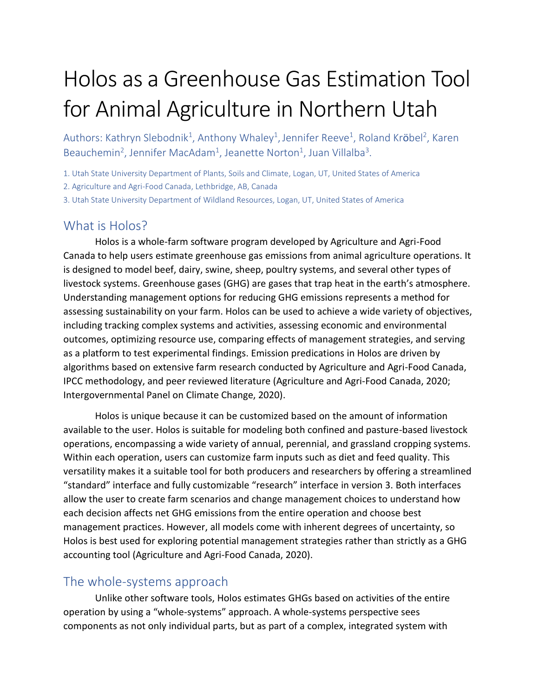# Holos as a Greenhouse Gas Estimation Tool for Animal Agriculture in Northern Utah

Authors: Kathryn Slebodnik<sup>1</sup>, Anthony Whaley<sup>1</sup>, Jennifer Reeve<sup>1</sup>, Roland Kr**ö**bel<sup>2</sup>, Karen Beauchemin<sup>2</sup>, Jennifer MacAdam<sup>1</sup>, Jeanette Norton<sup>1</sup>, Juan Villalba<sup>3</sup>.

1. Utah State University Department of Plants, Soils and Climate, Logan, UT, United States of America

2. Agriculture and Agri-Food Canada, Lethbridge, AB, Canada

3. Utah State University Department of Wildland Resources, Logan, UT, United States of America

### What is Holos?

Holos is a whole-farm software program developed by Agriculture and Agri-Food Canada to help users estimate greenhouse gas emissions from animal agriculture operations. It is designed to model beef, dairy, swine, sheep, poultry systems, and several other types of livestock systems. Greenhouse gases (GHG) are gases that trap heat in the earth's atmosphere. Understanding management options for reducing GHG emissions represents a method for assessing sustainability on your farm. Holos can be used to achieve a wide variety of objectives, including tracking complex systems and activities, assessing economic and environmental outcomes, optimizing resource use, comparing effects of management strategies, and serving as a platform to test experimental findings. Emission predications in Holos are driven by algorithms based on extensive farm research conducted by Agriculture and Agri-Food Canada, IPCC methodology, and peer reviewed literature (Agriculture and Agri-Food Canada, 2020; Intergovernmental Panel on Climate Change, 2020).

Holos is unique because it can be customized based on the amount of information available to the user. Holos is suitable for modeling both confined and pasture-based livestock operations, encompassing a wide variety of annual, perennial, and grassland cropping systems. Within each operation, users can customize farm inputs such as diet and feed quality. This versatility makes it a suitable tool for both producers and researchers by offering a streamlined "standard" interface and fully customizable "research" interface in version 3. Both interfaces allow the user to create farm scenarios and change management choices to understand how each decision affects net GHG emissions from the entire operation and choose best management practices. However, all models come with inherent degrees of uncertainty, so Holos is best used for exploring potential management strategies rather than strictly as a GHG accounting tool (Agriculture and Agri-Food Canada, 2020).

#### The whole-systems approach

Unlike other software tools, Holos estimates GHGs based on activities of the entire operation by using a "whole-systems" approach. A whole-systems perspective sees components as not only individual parts, but as part of a complex, integrated system with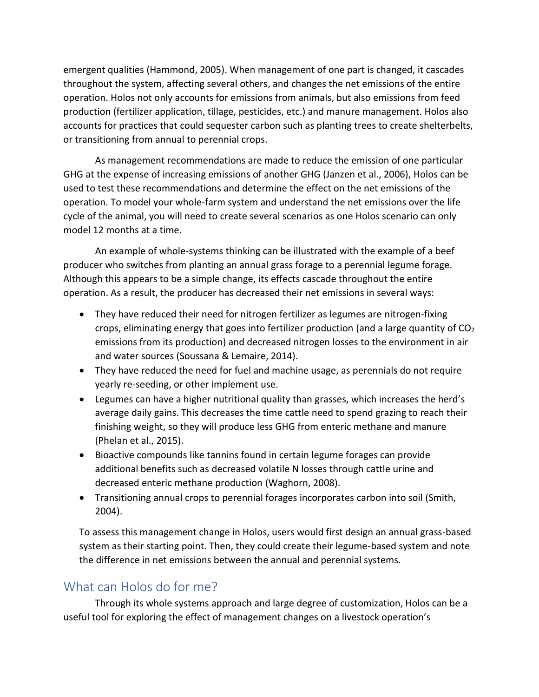emergent qualities (Hammond, 2005). When management of one part is changed, it cascades throughout the system, affecting several others, and changes the net emissions of the entire operation. Holos not only accounts for emissions from animals, but also emissions from feed production (fertilizer application, tillage, pesticides, etc.) and manure management. Holos also accounts for practices that could sequester carbon such as planting trees to create shelterbelts, or transitioning from annual to perennial crops.

As management recommendations are made to reduce the emission of one particular GHG at the expense of increasing emissions of another GHG (Janzen et al., 2006), Holos can be used to test these recommendations and determine the effect on the net emissions of the operation. To model your whole-farm system and understand the net emissions over the life cycle of the animal, you will need to create several scenarios as one Holos scenario can only model 12 months at a time.

An example of whole-systems thinking can be illustrated with the example of a beef producer who switches from planting an annual grass forage to a perennial legume forage. Although this appears to be a simple change, its effects cascade throughout the entire operation. As a result, the producer has decreased their net emissions in several ways:

- They have reduced their need for nitrogen fertilizer as legumes are nitrogen-fixing crops, eliminating energy that goes into fertilizer production (and a large quantity of  $CO<sub>2</sub>$ emissions from its production) and decreased nitrogen losses to the environment in air and water sources (Soussana & Lemaire, 2014).
- They have reduced the need for fuel and machine usage, as perennials do not require yearly re-seeding, or other implement use.
- Legumes can have a higher nutritional quality than grasses, which increases the herd's average daily gains. This decreases the time cattle need to spend grazing to reach their finishing weight, so they will produce less GHG from enteric methane and manure (Phelan et al., 2015).
- Bioactive compounds like tannins found in certain legume forages can provide additional benefits such as decreased volatile N losses through cattle urine and decreased enteric methane production (Waghorn, 2008).
- Transitioning annual crops to perennial forages incorporates carbon into soil (Smith, 2004).

To assess this management change in Holos, users would first design an annual grass-based system as their starting point. Then, they could create their legume-based system and note the difference in net emissions between the annual and perennial systems.

#### What can Holos do for me?

Through its whole systems approach and large degree of customization, Holos can be a useful tool for exploring the effect of management changes on a livestock operation's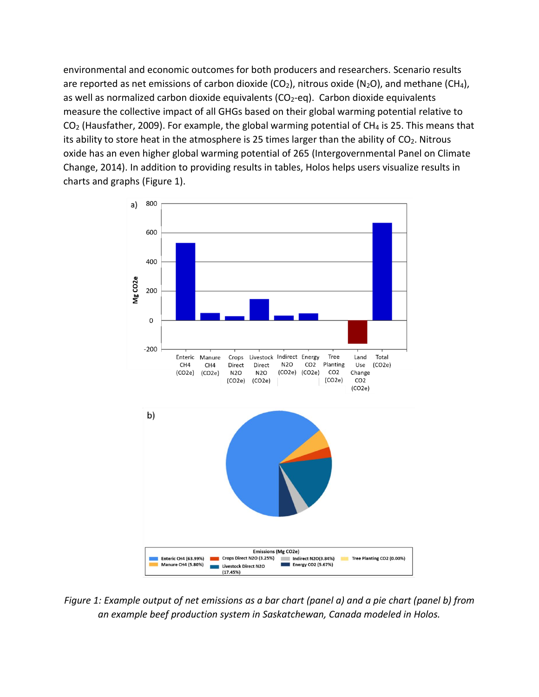environmental and economic outcomes for both producers and researchers. Scenario results are reported as net emissions of carbon dioxide (CO<sub>2</sub>), nitrous oxide (N<sub>2</sub>O), and methane (CH<sub>4</sub>), as well as normalized carbon dioxide equivalents ( $CO<sub>2</sub>$ -eq). Carbon dioxide equivalents measure the collective impact of all GHGs based on their global warming potential relative to  $CO<sub>2</sub>$  (Hausfather, 2009). For example, the global warming potential of CH<sub>4</sub> is 25. This means that its ability to store heat in the atmosphere is 25 times larger than the ability of  $CO<sub>2</sub>$ . Nitrous oxide has an even higher global warming potential of 265 (Intergovernmental Panel on Climate Change, 2014). In addition to providing results in tables, Holos helps users visualize results in charts and graphs (Figure 1).



*Figure 1: Example output of net emissions as a bar chart (panel a) and a pie chart (panel b) from an example beef production system in Saskatchewan, Canada modeled in Holos.*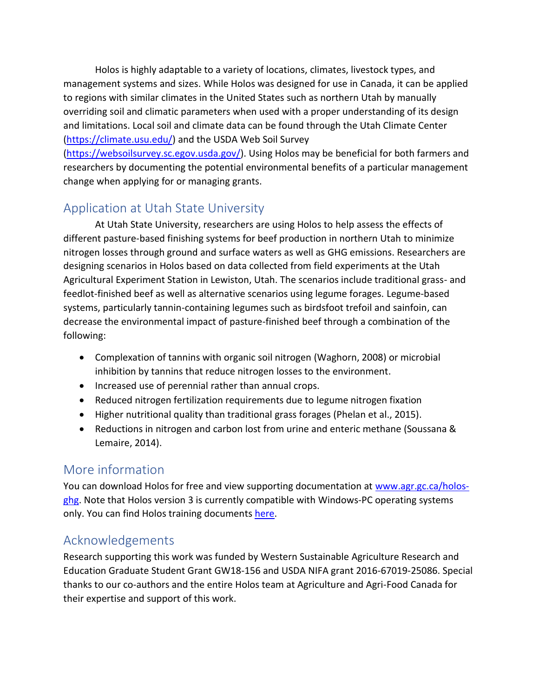Holos is highly adaptable to a variety of locations, climates, livestock types, and management systems and sizes. While Holos was designed for use in Canada, it can be applied to regions with similar climates in the United States such as northern Utah by manually overriding soil and climatic parameters when used with a proper understanding of its design and limitations. Local soil and climate data can be found through the Utah Climate Center [\(https://climate.usu.edu/\)](https://climate.usu.edu/) and the USDA Web Soil Survey

[\(https://websoilsurvey.sc.egov.usda.gov/\)](https://websoilsurvey.sc.egov.usda.gov/). Using Holos may be beneficial for both farmers and researchers by documenting the potential environmental benefits of a particular management change when applying for or managing grants.

## Application at Utah State University

At Utah State University, researchers are using Holos to help assess the effects of different pasture-based finishing systems for beef production in northern Utah to minimize nitrogen losses through ground and surface waters as well as GHG emissions. Researchers are designing scenarios in Holos based on data collected from field experiments at the Utah Agricultural Experiment Station in Lewiston, Utah. The scenarios include traditional grass- and feedlot-finished beef as well as alternative scenarios using legume forages. Legume-based systems, particularly tannin-containing legumes such as birdsfoot trefoil and sainfoin, can decrease the environmental impact of pasture-finished beef through a combination of the following:

- Complexation of tannins with organic soil nitrogen (Waghorn, 2008) or microbial inhibition by tannins that reduce nitrogen losses to the environment.
- Increased use of perennial rather than annual crops.
- Reduced nitrogen fertilization requirements due to legume nitrogen fixation
- Higher nutritional quality than traditional grass forages (Phelan et al., 2015).
- Reductions in nitrogen and carbon lost from urine and enteric methane (Soussana & Lemaire, 2014).

## More information

You can download Holos for free and view supporting documentation at [www.agr.gc.ca/holos](http://www.agr.gc.ca/holos-ghg)[ghg.](http://www.agr.gc.ca/holos-ghg) Note that Holos version 3 is currently compatible with Windows-PC operating systems only. You can find Holos training documents [here.](https://drive.google.com/file/u/0/d/13A1j-Vjrlz6HshXjIt1EQlL-D9pIEHer/view)

# Acknowledgements

Research supporting this work was funded by Western Sustainable Agriculture Research and Education Graduate Student Grant GW18-156 and USDA NIFA grant 2016-67019-25086. Special thanks to our co-authors and the entire Holos team at Agriculture and Agri-Food Canada for their expertise and support of this work.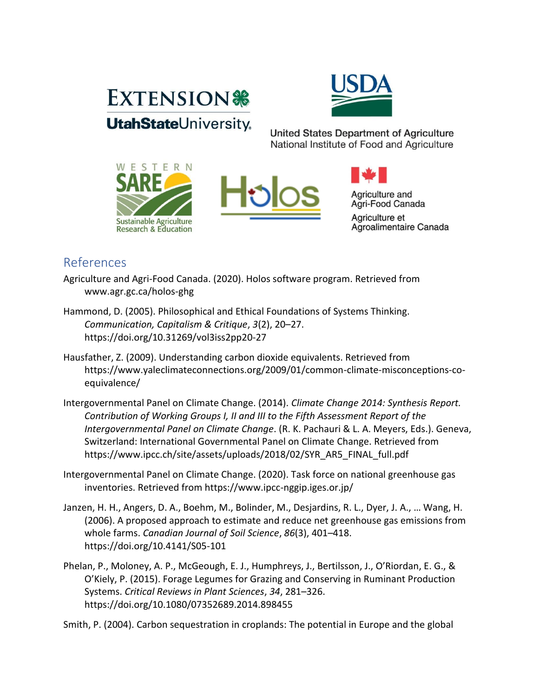



**United States Department of Agriculture** National Institute of Food and Agriculture







## References

Agriculture and Agri-Food Canada. (2020). Holos software program. Retrieved from www.agr.gc.ca/holos-ghg

- Hammond, D. (2005). Philosophical and Ethical Foundations of Systems Thinking. *Communication, Capitalism & Critique*, *3*(2), 20–27. https://doi.org/10.31269/vol3iss2pp20-27
- Hausfather, Z. (2009). Understanding carbon dioxide equivalents. Retrieved from https://www.yaleclimateconnections.org/2009/01/common-climate-misconceptions-coequivalence/
- Intergovernmental Panel on Climate Change. (2014). *Climate Change 2014: Synthesis Report. Contribution of Working Groups I, II and III to the Fifth Assessment Report of the Intergovernmental Panel on Climate Change*. (R. K. Pachauri & L. A. Meyers, Eds.). Geneva, Switzerland: International Governmental Panel on Climate Change. Retrieved from https://www.ipcc.ch/site/assets/uploads/2018/02/SYR\_AR5\_FINAL\_full.pdf
- Intergovernmental Panel on Climate Change. (2020). Task force on national greenhouse gas inventories. Retrieved from https://www.ipcc-nggip.iges.or.jp/
- Janzen, H. H., Angers, D. A., Boehm, M., Bolinder, M., Desjardins, R. L., Dyer, J. A., … Wang, H. (2006). A proposed approach to estimate and reduce net greenhouse gas emissions from whole farms. *Canadian Journal of Soil Science*, *86*(3), 401–418. https://doi.org/10.4141/S05-101
- Phelan, P., Moloney, A. P., McGeough, E. J., Humphreys, J., Bertilsson, J., O'Riordan, E. G., & O'Kiely, P. (2015). Forage Legumes for Grazing and Conserving in Ruminant Production Systems. *Critical Reviews in Plant Sciences*, *34*, 281–326. https://doi.org/10.1080/07352689.2014.898455

Smith, P. (2004). Carbon sequestration in croplands: The potential in Europe and the global